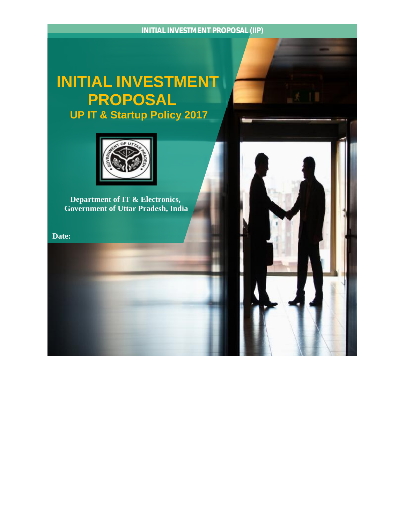## **INITIAL INVESTMENT PROPOSAL UP IT & Startup Policy 2017**



 **Department of IT & Electronics, Government of Uttar Pradesh, India** 

**Date:** 

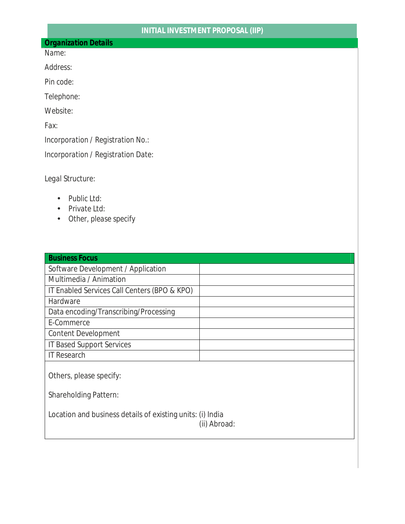## *Organization Details*

*Name:* 

*Address:* 

*Pin code:*

*Telephone:* 

*Website:* 

*Fax:*

*Incorporation / Registration No.:* 

*Incorporation / Registration Date:*

*Legal Structure:* 

- *Public Ltd:*
- *Private Ltd:*
- *Other, please specify*

| <b>Business Focus</b>                                                      |  |  |  |  |
|----------------------------------------------------------------------------|--|--|--|--|
| Software Development / Application                                         |  |  |  |  |
| Multimedia / Animation                                                     |  |  |  |  |
| IT Enabled Services Call Centers (BPO & KPO)                               |  |  |  |  |
| Hardware                                                                   |  |  |  |  |
| Data encoding/Transcribing/Processing                                      |  |  |  |  |
| E-Commerce                                                                 |  |  |  |  |
| <b>Content Development</b>                                                 |  |  |  |  |
| <b>IT Based Support Services</b>                                           |  |  |  |  |
| <b>IT Research</b>                                                         |  |  |  |  |
| Others, please specify:                                                    |  |  |  |  |
| <b>Shareholding Pattern:</b>                                               |  |  |  |  |
| Location and business details of existing units: (i) India<br>(ii) Abroad: |  |  |  |  |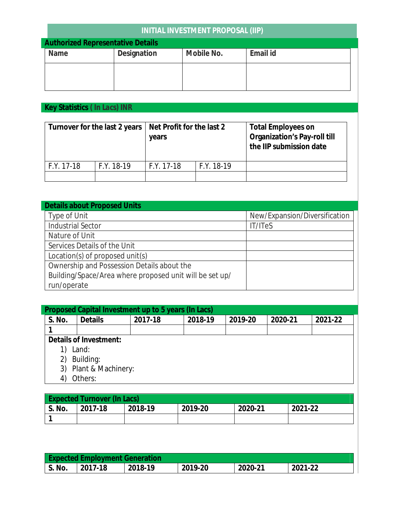## **INITIAL INVESTMENT PROPOSAL (IIP)**

| <b>Authorized Representative Details</b> |             |            |          |  |
|------------------------------------------|-------------|------------|----------|--|
| Name                                     | Designation | Mobile No. | Email id |  |
|                                          |             |            |          |  |
|                                          |             |            |          |  |
|                                          |             |            |          |  |
|                                          |             |            |          |  |

**Key Statistics** *( In Lacs) INR* 

|              |              | Turnover for the last 2 years   Net Profit for the last 2<br>years |              | <b>Total Employees on</b><br><b>Organization's Pay-roll till</b><br>the IIP submission date |
|--------------|--------------|--------------------------------------------------------------------|--------------|---------------------------------------------------------------------------------------------|
| $F.Y. 17-18$ | $F.Y. 18-19$ | $F.Y. 17-18$                                                       | $F.Y. 18-19$ |                                                                                             |
|              |              |                                                                    |              |                                                                                             |

| <b>Details about Proposed Units</b>                     |                               |
|---------------------------------------------------------|-------------------------------|
| <b>Type of Unit</b>                                     | New/Expansion/Diversification |
| <b>Industrial Sector</b>                                | IT/ITeS                       |
| Nature of Unit                                          |                               |
| Services Details of the Unit                            |                               |
| Location(s) of proposed unit(s)                         |                               |
| Ownership and Possession Details about the              |                               |
| Building/Space/Area where proposed unit will be set up/ |                               |
| run/operate                                             |                               |

|        |                | Proposed Capital Investment up to 5 years (In Lacs) |         |         |         |         |
|--------|----------------|-----------------------------------------------------|---------|---------|---------|---------|
| S. No. | <b>Details</b> | 2017-18                                             | 2018-19 | 2019-20 | 2020-21 | 2021-22 |
|        |                |                                                     |         |         |         |         |

**Details of Investment:** 

- 1) Land:
- 2) Building:
- 3) Plant & Machinery:
- 4) Others:

| <b>Expected Turnover (In Lacs)</b> |         |         |         |         |         |
|------------------------------------|---------|---------|---------|---------|---------|
| S. No.                             | 2017-18 | 2018-19 | 2019-20 | 2020-21 | 2021-22 |
|                                    |         |         |         |         |         |

|        | <b>Expected Employment Generation</b> |         |         |         |         |
|--------|---------------------------------------|---------|---------|---------|---------|
| S. No. | 2017-18                               | 2018-19 | 2019-20 | 2020-21 | 2021-22 |